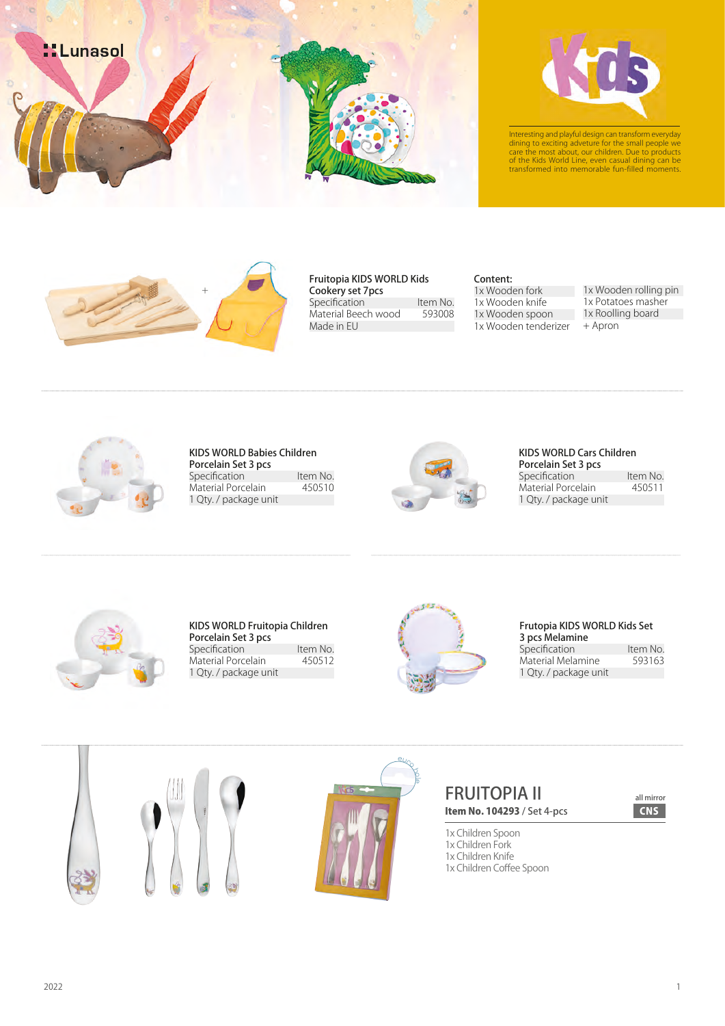



Interesting and playful design can transform everyday<br>dining to exciting adveture for the small people we<br>care the most about, our children. Due to products<br>of the Kids World Line, even casual dining can be<br>transformed int



### Fruitopia KIDS WORLD Kids

Cookery set 7pcs Specification Item No.<br>Material Beech wood 593008 Material Beech wood Made in EU

### Content:

1x Wooden fork 1x Wooden knife 1x Wooden spoon 1x Wooden tenderizer 1x Wooden rolling pin

- 1x Potatoes masher
- 1x Roolling board
- + Apron



### KIDS WORLD Babies Children Porcelain Set 3 pcs Specification Item No.<br>
Material Porcelain 450510 Material Porcelain 1 Qty. / package unit



# KIDS WORLD Cars Children

Porcelain Set 3 pcs Specification Item No.<br>
Material Porcelain 450511 Material Porcelain 1 Qty. / package unit



### KIDS WORLD Fruitopia Children Porcelain Set 3 pcs Specification Item No.<br>
Material Porcelain 450512 Material Porcelain 1 Qty. / package unit



## Frutopia KIDS WORLD Kids Set 3 pcs Melamine Specification Item No.<br>Material Melamine 593163

Material Melamine 1 Qty. / package unit